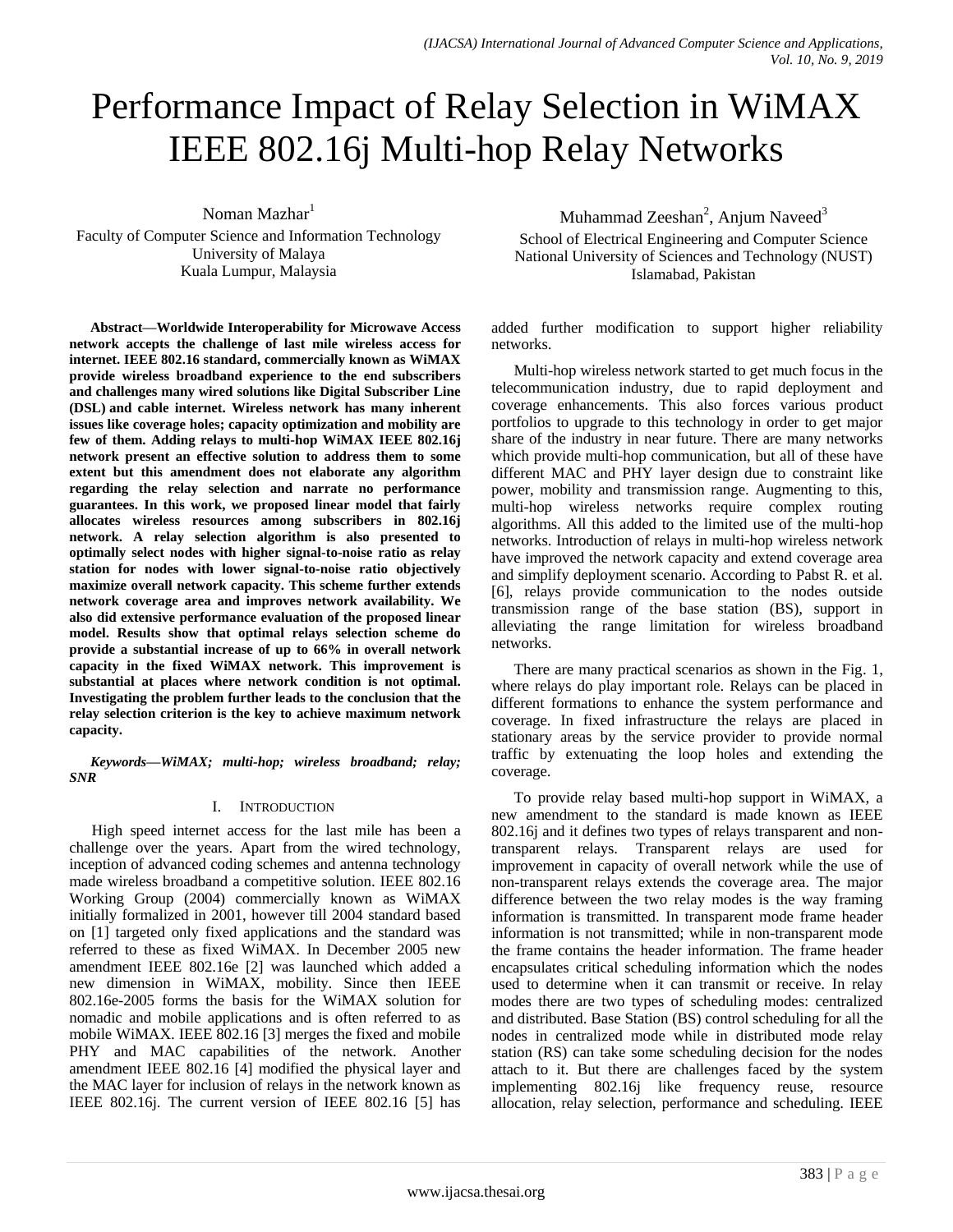# Performance Impact of Relay Selection in WiMAX IEEE 802.16j Multi-hop Relay Networks

Noman Mazhar<sup>1</sup>

Faculty of Computer Science and Information Technology University of Malaya Kuala Lumpur, Malaysia

**Abstract—Worldwide Interoperability for Microwave Access network accepts the challenge of last mile wireless access for internet. IEEE 802.16 standard, commercially known as WiMAX provide wireless broadband experience to the end subscribers and challenges many wired solutions like Digital Subscriber Line (DSL) and cable internet. Wireless network has many inherent issues like coverage holes; capacity optimization and mobility are few of them. Adding relays to multi-hop WiMAX IEEE 802.16j network present an effective solution to address them to some extent but this amendment does not elaborate any algorithm regarding the relay selection and narrate no performance guarantees. In this work, we proposed linear model that fairly allocates wireless resources among subscribers in 802.16j network. A relay selection algorithm is also presented to optimally select nodes with higher signal-to-noise ratio as relay station for nodes with lower signal-to-noise ratio objectively maximize overall network capacity. This scheme further extends network coverage area and improves network availability. We also did extensive performance evaluation of the proposed linear model. Results show that optimal relays selection scheme do provide a substantial increase of up to 66% in overall network capacity in the fixed WiMAX network. This improvement is substantial at places where network condition is not optimal. Investigating the problem further leads to the conclusion that the relay selection criterion is the key to achieve maximum network capacity.**

*Keywords—WiMAX; multi-hop; wireless broadband; relay; SNR*

### I. INTRODUCTION

High speed internet access for the last mile has been a challenge over the years. Apart from the wired technology, inception of advanced coding schemes and antenna technology made wireless broadband a competitive solution. IEEE 802.16 Working Group (2004) commercially known as WiMAX initially formalized in 2001, however till 2004 standard based on [1] targeted only fixed applications and the standard was referred to these as fixed WiMAX. In December 2005 new amendment IEEE 802.16e [2] was launched which added a new dimension in WiMAX, mobility. Since then IEEE 802.16e-2005 forms the basis for the WiMAX solution for nomadic and mobile applications and is often referred to as mobile WiMAX. IEEE 802.16 [3] merges the fixed and mobile PHY and MAC capabilities of the network. Another amendment IEEE 802.16 [4] modified the physical layer and the MAC layer for inclusion of relays in the network known as IEEE 802.16j. The current version of IEEE 802.16 [5] has

Muhammad Zeeshan<sup>2</sup>, Anjum Naveed<sup>3</sup> School of Electrical Engineering and Computer Science National University of Sciences and Technology (NUST) Islamabad, Pakistan

added further modification to support higher reliability networks.

Multi-hop wireless network started to get much focus in the telecommunication industry, due to rapid deployment and coverage enhancements. This also forces various product portfolios to upgrade to this technology in order to get major share of the industry in near future. There are many networks which provide multi-hop communication, but all of these have different MAC and PHY layer design due to constraint like power, mobility and transmission range. Augmenting to this, multi-hop wireless networks require complex routing algorithms. All this added to the limited use of the multi-hop networks. Introduction of relays in multi-hop wireless network have improved the network capacity and extend coverage area and simplify deployment scenario. According to Pabst R. et al. [6], relays provide communication to the nodes outside transmission range of the base station (BS), support in alleviating the range limitation for wireless broadband networks.

There are many practical scenarios as shown in the Fig. 1, where relays do play important role. Relays can be placed in different formations to enhance the system performance and coverage. In fixed infrastructure the relays are placed in stationary areas by the service provider to provide normal traffic by extenuating the loop holes and extending the coverage.

To provide relay based multi-hop support in WiMAX, a new amendment to the standard is made known as IEEE 802.16j and it defines two types of relays transparent and nontransparent relays. Transparent relays are used for improvement in capacity of overall network while the use of non-transparent relays extends the coverage area. The major difference between the two relay modes is the way framing information is transmitted. In transparent mode frame header information is not transmitted; while in non-transparent mode the frame contains the header information. The frame header encapsulates critical scheduling information which the nodes used to determine when it can transmit or receive. In relay modes there are two types of scheduling modes: centralized and distributed. Base Station (BS) control scheduling for all the nodes in centralized mode while in distributed mode relay station (RS) can take some scheduling decision for the nodes attach to it. But there are challenges faced by the system implementing 802.16j like frequency reuse, resource allocation, relay selection, performance and scheduling. IEEE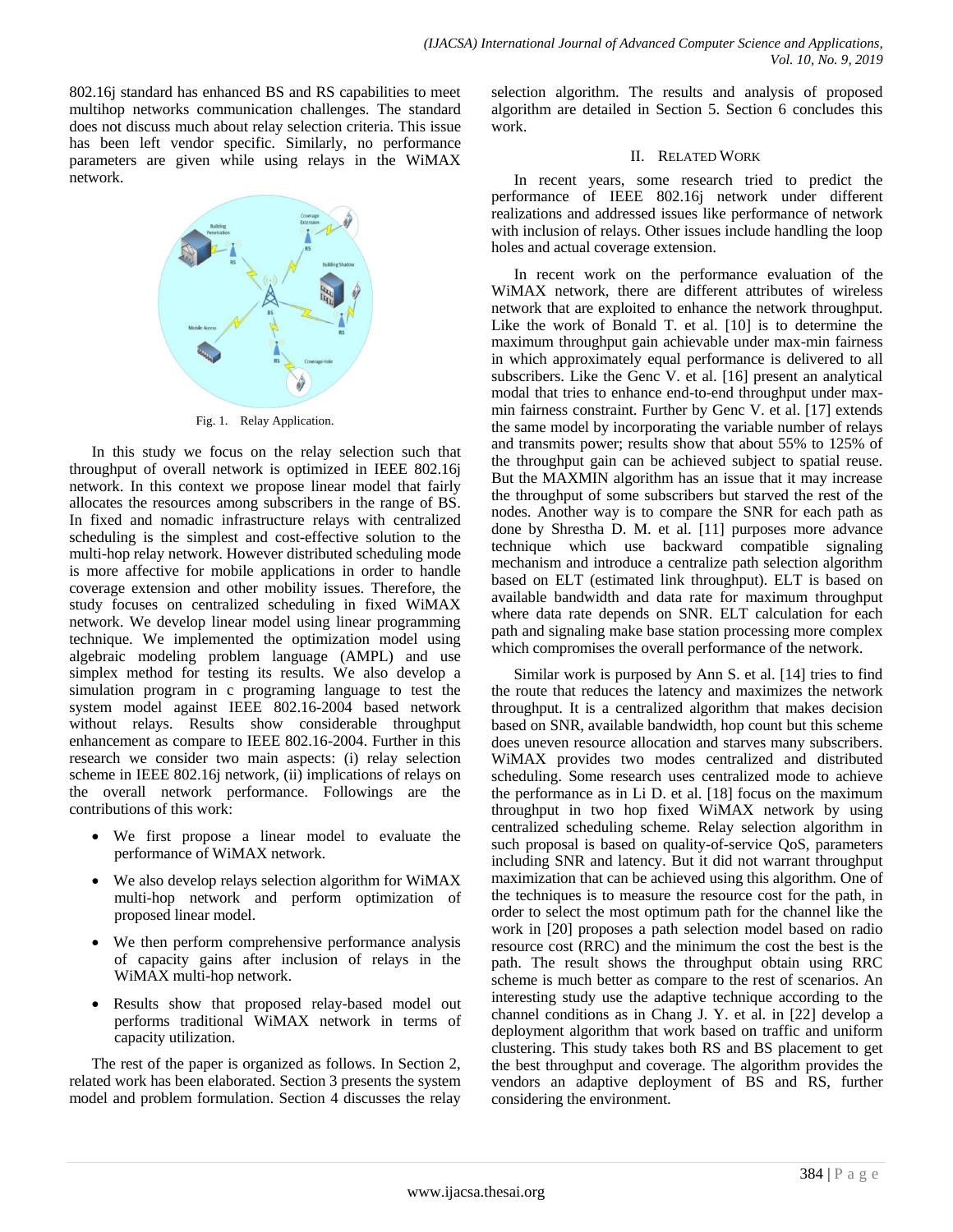802.16j standard has enhanced BS and RS capabilities to meet multihop networks communication challenges. The standard does not discuss much about relay selection criteria. This issue has been left vendor specific. Similarly, no performance parameters are given while using relays in the WiMAX network.



Fig. 1. Relay Application.

In this study we focus on the relay selection such that throughput of overall network is optimized in IEEE 802.16j network. In this context we propose linear model that fairly allocates the resources among subscribers in the range of BS. In fixed and nomadic infrastructure relays with centralized scheduling is the simplest and cost-effective solution to the multi-hop relay network. However distributed scheduling mode is more affective for mobile applications in order to handle coverage extension and other mobility issues. Therefore, the study focuses on centralized scheduling in fixed WiMAX network. We develop linear model using linear programming technique. We implemented the optimization model using algebraic modeling problem language (AMPL) and use simplex method for testing its results. We also develop a simulation program in c programing language to test the system model against IEEE 802.16-2004 based network without relays. Results show considerable throughput enhancement as compare to IEEE 802.16-2004. Further in this research we consider two main aspects: (i) relay selection scheme in IEEE 802.16j network, (ii) implications of relays on the overall network performance. Followings are the contributions of this work:

- We first propose a linear model to evaluate the performance of WiMAX network.
- We also develop relays selection algorithm for WiMAX multi-hop network and perform optimization of proposed linear model.
- We then perform comprehensive performance analysis of capacity gains after inclusion of relays in the WiMAX multi-hop network.
- Results show that proposed relay-based model out performs traditional WiMAX network in terms of capacity utilization.

The rest of the paper is organized as follows. In Section 2, related work has been elaborated. Section 3 presents the system model and problem formulation. Section 4 discusses the relay selection algorithm. The results and analysis of proposed algorithm are detailed in Section 5. Section 6 concludes this work.

## II. RELATED WORK

In recent years, some research tried to predict the performance of IEEE 802.16j network under different realizations and addressed issues like performance of network with inclusion of relays. Other issues include handling the loop holes and actual coverage extension.

In recent work on the performance evaluation of the WiMAX network, there are different attributes of wireless network that are exploited to enhance the network throughput. Like the work of Bonald T. et al. [10] is to determine the maximum throughput gain achievable under max-min fairness in which approximately equal performance is delivered to all subscribers. Like the Genc V. et al. [16] present an analytical modal that tries to enhance end-to-end throughput under maxmin fairness constraint. Further by Genc V. et al. [17] extends the same model by incorporating the variable number of relays and transmits power; results show that about 55% to 125% of the throughput gain can be achieved subject to spatial reuse. But the MAXMIN algorithm has an issue that it may increase the throughput of some subscribers but starved the rest of the nodes. Another way is to compare the SNR for each path as done by Shrestha D. M. et al. [11] purposes more advance technique which use backward compatible signaling mechanism and introduce a centralize path selection algorithm based on ELT (estimated link throughput). ELT is based on available bandwidth and data rate for maximum throughput where data rate depends on SNR. ELT calculation for each path and signaling make base station processing more complex which compromises the overall performance of the network.

Similar work is purposed by Ann S. et al. [14] tries to find the route that reduces the latency and maximizes the network throughput. It is a centralized algorithm that makes decision based on SNR, available bandwidth, hop count but this scheme does uneven resource allocation and starves many subscribers. WiMAX provides two modes centralized and distributed scheduling. Some research uses centralized mode to achieve the performance as in Li D. et al. [18] focus on the maximum throughput in two hop fixed WiMAX network by using centralized scheduling scheme. Relay selection algorithm in such proposal is based on quality-of-service QoS, parameters including SNR and latency. But it did not warrant throughput maximization that can be achieved using this algorithm. One of the techniques is to measure the resource cost for the path, in order to select the most optimum path for the channel like the work in [20] proposes a path selection model based on radio resource cost (RRC) and the minimum the cost the best is the path. The result shows the throughput obtain using RRC scheme is much better as compare to the rest of scenarios. An interesting study use the adaptive technique according to the channel conditions as in Chang J. Y. et al. in [22] develop a deployment algorithm that work based on traffic and uniform clustering. This study takes both RS and BS placement to get the best throughput and coverage. The algorithm provides the vendors an adaptive deployment of BS and RS, further considering the environment.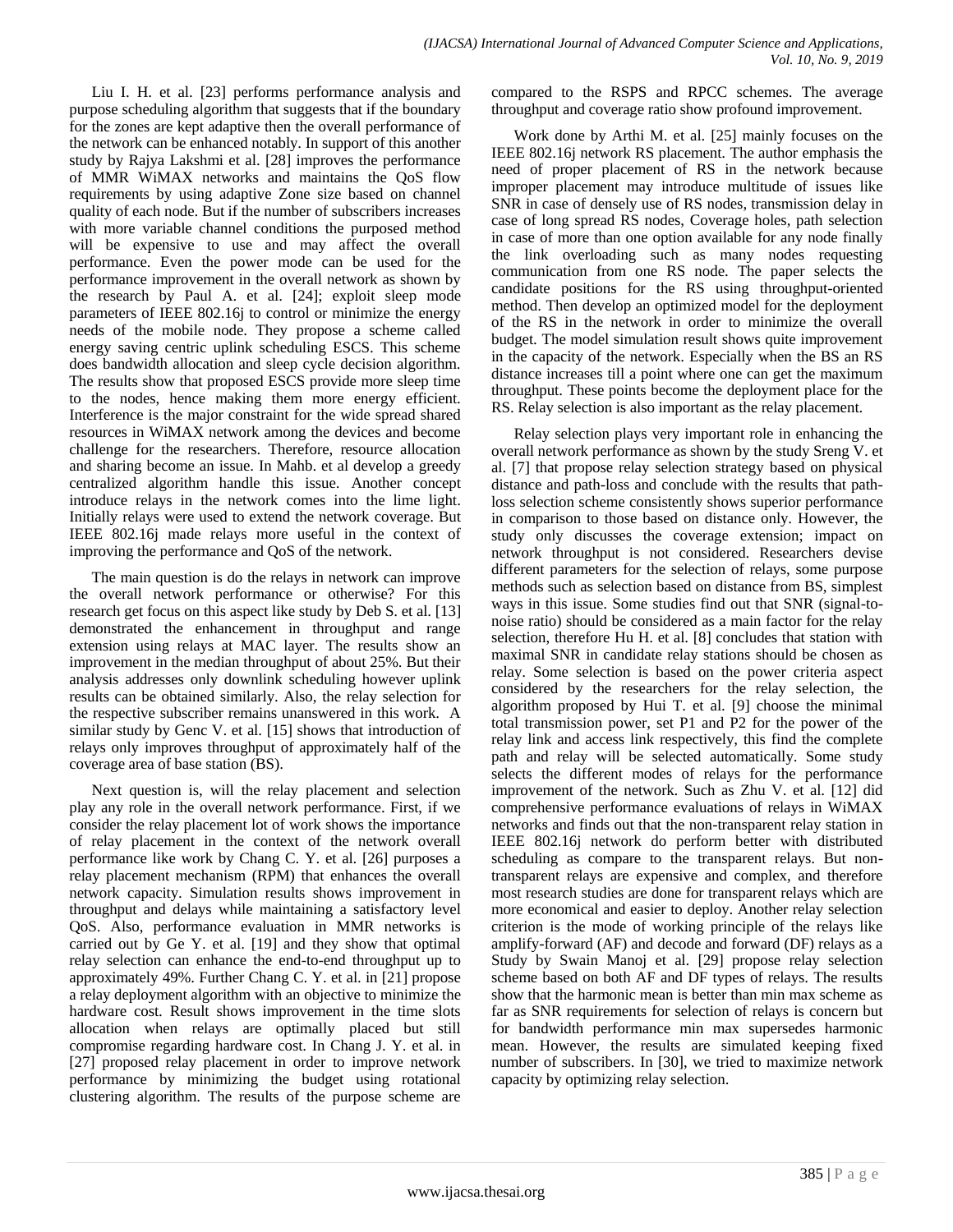Liu I. H. et al. [23] performs performance analysis and purpose scheduling algorithm that suggests that if the boundary for the zones are kept adaptive then the overall performance of the network can be enhanced notably. In support of this another study by Rajya Lakshmi et al. [28] improves the performance of MMR WiMAX networks and maintains the QoS flow requirements by using adaptive Zone size based on channel quality of each node. But if the number of subscribers increases with more variable channel conditions the purposed method will be expensive to use and may affect the overall performance. Even the power mode can be used for the performance improvement in the overall network as shown by the research by Paul A. et al. [24]; exploit sleep mode parameters of IEEE 802.16j to control or minimize the energy needs of the mobile node. They propose a scheme called energy saving centric uplink scheduling ESCS. This scheme does bandwidth allocation and sleep cycle decision algorithm. The results show that proposed ESCS provide more sleep time to the nodes, hence making them more energy efficient. Interference is the major constraint for the wide spread shared resources in WiMAX network among the devices and become challenge for the researchers. Therefore, resource allocation and sharing become an issue. In Mahb. et al develop a greedy centralized algorithm handle this issue. Another concept introduce relays in the network comes into the lime light. Initially relays were used to extend the network coverage. But IEEE 802.16j made relays more useful in the context of improving the performance and QoS of the network.

The main question is do the relays in network can improve the overall network performance or otherwise? For this research get focus on this aspect like study by Deb S. et al. [13] demonstrated the enhancement in throughput and range extension using relays at MAC layer. The results show an improvement in the median throughput of about 25%. But their analysis addresses only downlink scheduling however uplink results can be obtained similarly. Also, the relay selection for the respective subscriber remains unanswered in this work. A similar study by Genc V. et al. [15] shows that introduction of relays only improves throughput of approximately half of the coverage area of base station (BS).

Next question is, will the relay placement and selection play any role in the overall network performance. First, if we consider the relay placement lot of work shows the importance of relay placement in the context of the network overall performance like work by Chang C. Y. et al. [26] purposes a relay placement mechanism (RPM) that enhances the overall network capacity. Simulation results shows improvement in throughput and delays while maintaining a satisfactory level QoS. Also, performance evaluation in MMR networks is carried out by Ge Y. et al. [19] and they show that optimal relay selection can enhance the end-to-end throughput up to approximately 49%. Further Chang C. Y. et al. in [21] propose a relay deployment algorithm with an objective to minimize the hardware cost. Result shows improvement in the time slots allocation when relays are optimally placed but still compromise regarding hardware cost. In Chang J. Y. et al. in [27] proposed relay placement in order to improve network performance by minimizing the budget using rotational clustering algorithm. The results of the purpose scheme are

compared to the RSPS and RPCC schemes. The average throughput and coverage ratio show profound improvement.

Work done by Arthi M. et al. [25] mainly focuses on the IEEE 802.16j network RS placement. The author emphasis the need of proper placement of RS in the network because improper placement may introduce multitude of issues like SNR in case of densely use of RS nodes, transmission delay in case of long spread RS nodes, Coverage holes, path selection in case of more than one option available for any node finally the link overloading such as many nodes requesting communication from one RS node. The paper selects the candidate positions for the RS using throughput-oriented method. Then develop an optimized model for the deployment of the RS in the network in order to minimize the overall budget. The model simulation result shows quite improvement in the capacity of the network. Especially when the BS an RS distance increases till a point where one can get the maximum throughput. These points become the deployment place for the RS. Relay selection is also important as the relay placement.

Relay selection plays very important role in enhancing the overall network performance as shown by the study Sreng V. et al. [7] that propose relay selection strategy based on physical distance and path-loss and conclude with the results that pathloss selection scheme consistently shows superior performance in comparison to those based on distance only. However, the study only discusses the coverage extension; impact on network throughput is not considered. Researchers devise different parameters for the selection of relays, some purpose methods such as selection based on distance from BS, simplest ways in this issue. Some studies find out that SNR (signal-tonoise ratio) should be considered as a main factor for the relay selection, therefore Hu H. et al. [8] concludes that station with maximal SNR in candidate relay stations should be chosen as relay. Some selection is based on the power criteria aspect considered by the researchers for the relay selection, the algorithm proposed by Hui T. et al. [9] choose the minimal total transmission power, set P1 and P2 for the power of the relay link and access link respectively, this find the complete path and relay will be selected automatically. Some study selects the different modes of relays for the performance improvement of the network. Such as Zhu V. et al. [12] did comprehensive performance evaluations of relays in WiMAX networks and finds out that the non-transparent relay station in IEEE 802.16j network do perform better with distributed scheduling as compare to the transparent relays. But nontransparent relays are expensive and complex, and therefore most research studies are done for transparent relays which are more economical and easier to deploy. Another relay selection criterion is the mode of working principle of the relays like amplify-forward (AF) and decode and forward (DF) relays as a Study by Swain Manoj et al. [29] propose relay selection scheme based on both AF and DF types of relays. The results show that the harmonic mean is better than min max scheme as far as SNR requirements for selection of relays is concern but for bandwidth performance min max supersedes harmonic mean. However, the results are simulated keeping fixed number of subscribers. In [30], we tried to maximize network capacity by optimizing relay selection.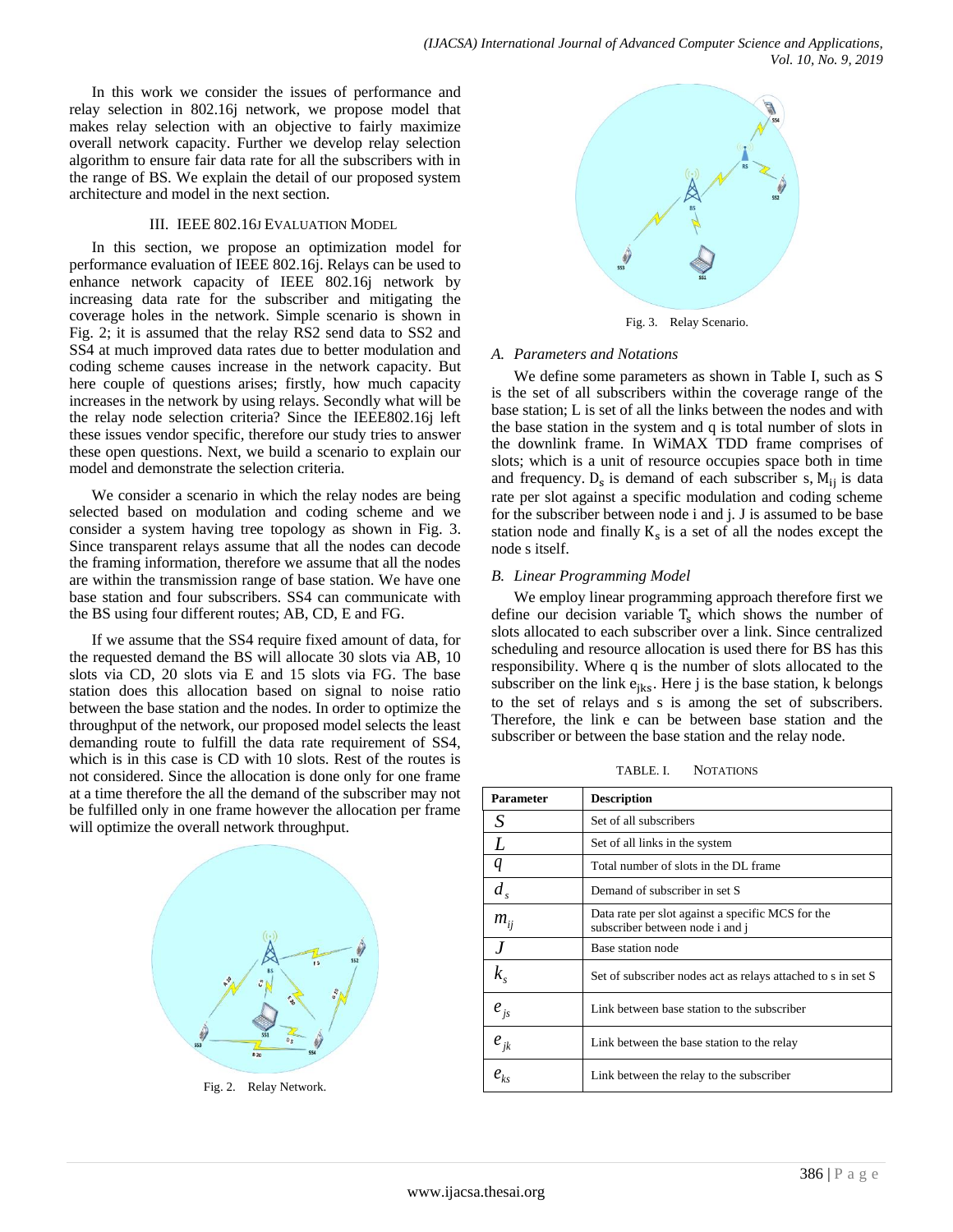In this work we consider the issues of performance and relay selection in 802.16j network, we propose model that makes relay selection with an objective to fairly maximize overall network capacity. Further we develop relay selection algorithm to ensure fair data rate for all the subscribers with in the range of BS. We explain the detail of our proposed system architecture and model in the next section.

#### III. IEEE 802.16J EVALUATION MODEL

In this section, we propose an optimization model for performance evaluation of IEEE 802.16j. Relays can be used to enhance network capacity of IEEE 802.16j network by increasing data rate for the subscriber and mitigating the coverage holes in the network. Simple scenario is shown in Fig. 2; it is assumed that the relay RS2 send data to SS2 and SS4 at much improved data rates due to better modulation and coding scheme causes increase in the network capacity. But here couple of questions arises; firstly, how much capacity increases in the network by using relays. Secondly what will be the relay node selection criteria? Since the IEEE802.16j left these issues vendor specific, therefore our study tries to answer these open questions. Next, we build a scenario to explain our model and demonstrate the selection criteria.

We consider a scenario in which the relay nodes are being selected based on modulation and coding scheme and we consider a system having tree topology as shown in Fig. 3. Since transparent relays assume that all the nodes can decode the framing information, therefore we assume that all the nodes are within the transmission range of base station. We have one base station and four subscribers. SS4 can communicate with the BS using four different routes; AB, CD, E and FG.

If we assume that the SS4 require fixed amount of data, for the requested demand the BS will allocate 30 slots via AB, 10 slots via CD, 20 slots via E and 15 slots via FG. The base station does this allocation based on signal to noise ratio between the base station and the nodes. In order to optimize the throughput of the network, our proposed model selects the least demanding route to fulfill the data rate requirement of SS4, which is in this case is CD with 10 slots. Rest of the routes is not considered. Since the allocation is done only for one frame at a time therefore the all the demand of the subscriber may not be fulfilled only in one frame however the allocation per frame will optimize the overall network throughput.



Fig. 2. Relay Network.



Fig. 3. Relay Scenario.

## *A. Parameters and Notations*

We define some parameters as shown in Table I, such as S is the set of all subscribers within the coverage range of the base station; L is set of all the links between the nodes and with the base station in the system and q is total number of slots in the downlink frame. In WiMAX TDD frame comprises of slots; which is a unit of resource occupies space both in time and frequency.  $D_s$  is demand of each subscriber s,  $M_{ij}$  is data rate per slot against a specific modulation and coding scheme for the subscriber between node i and j. J is assumed to be base station node and finally  $K_s$  is a set of all the nodes except the node s itself.

# *B. Linear Programming Model*

We employ linear programming approach therefore first we define our decision variable  $T_s$  which shows the number of slots allocated to each subscriber over a link. Since centralized scheduling and resource allocation is used there for BS has this responsibility. Where q is the number of slots allocated to the subscriber on the link  $e_{iks}$ . Here j is the base station, k belongs to the set of relays and s is among the set of subscribers. Therefore, the link e can be between base station and the subscriber or between the base station and the relay node.

TABLE. I. NOTATIONS

| <b>Parameter</b>           | <b>Description</b>                                                                   |  |
|----------------------------|--------------------------------------------------------------------------------------|--|
| S                          | Set of all subscribers                                                               |  |
| L                          | Set of all links in the system                                                       |  |
| q                          | Total number of slots in the DL frame                                                |  |
| $d_{s}$                    | Demand of subscriber in set S                                                        |  |
| $m_{ij}$                   | Data rate per slot against a specific MCS for the<br>subscriber between node i and j |  |
| .I                         | Base station node                                                                    |  |
| $k_{\scriptscriptstyle s}$ | Set of subscriber nodes act as relays attached to s in set S                         |  |
| $e_{j s}$                  | Link between base station to the subscriber                                          |  |
| $e_{jk}$                   | Link between the base station to the relay                                           |  |
| $e_{ks}$                   | Link between the relay to the subscriber                                             |  |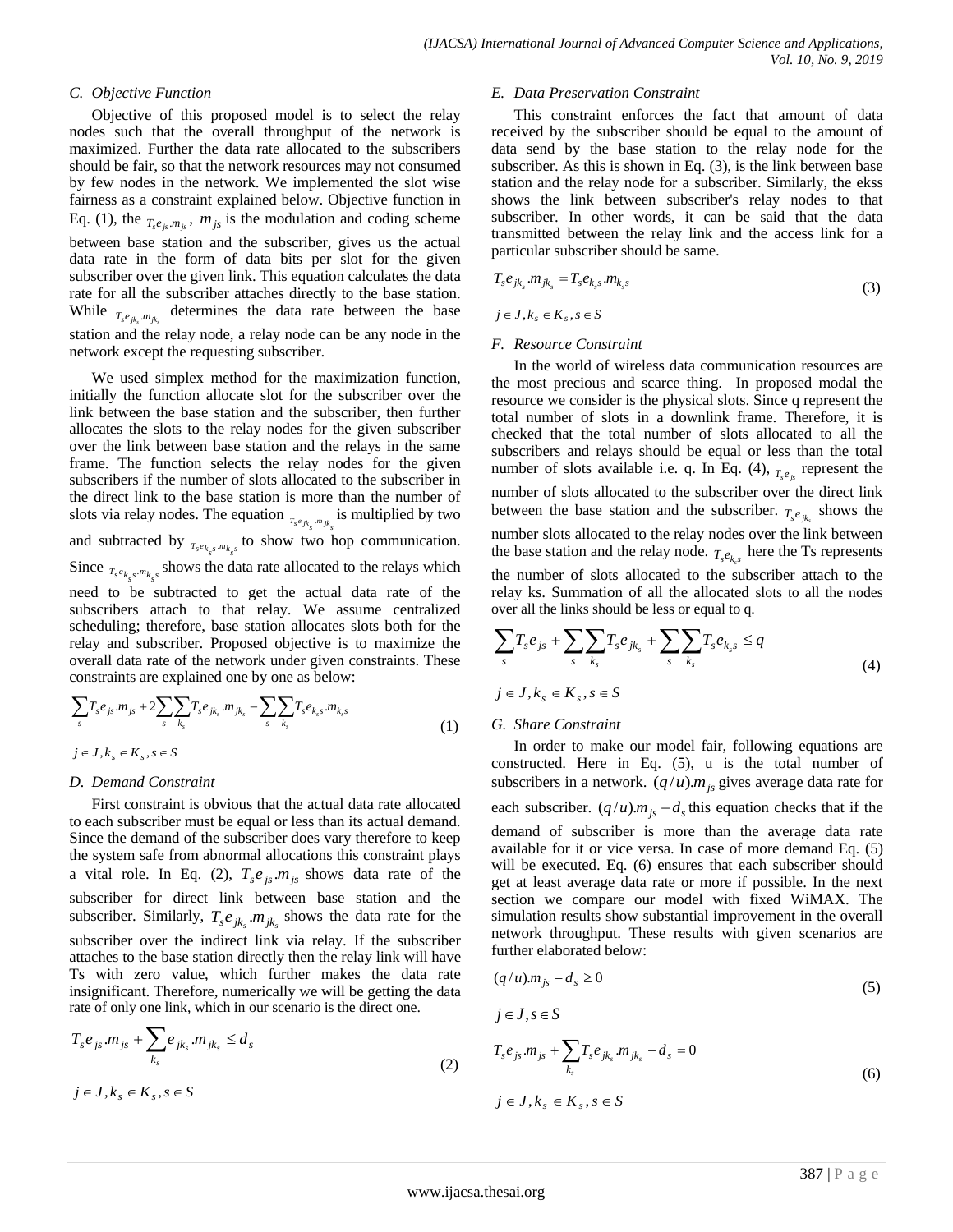#### *C. Objective Function*

Objective of this proposed model is to select the relay nodes such that the overall throughput of the network is maximized. Further the data rate allocated to the subscribers should be fair, so that the network resources may not consumed by few nodes in the network. We implemented the slot wise fairness as a constraint explained below. Objective function in Eq. (1), the  $_{T_s e_{js} m_{js}}$ ,  $m_{js}$  is the modulation and coding scheme between base station and the subscriber, gives us the actual data rate in the form of data bits per slot for the given subscriber over the given link. This equation calculates the data rate for all the subscriber attaches directly to the base station. While  $_{T_s e_{jk_s} m_{jk_s}}$  determines the data rate between the base station and the relay node, a relay node can be any node in the network except the requesting subscriber.

We used simplex method for the maximization function, initially the function allocate slot for the subscriber over the link between the base station and the subscriber, then further allocates the slots to the relay nodes for the given subscriber over the link between base station and the relays in the same frame. The function selects the relay nodes for the given subscribers if the number of slots allocated to the subscriber in the direct link to the base station is more than the number of slots via relay nodes. The equation  $_{r_s e_{jk_s} m_{jk_s}}$  is multiplied by two and subtracted by  $_{T_s e_{k_s s} m_{k_s s}}$  to show two hop communication. Since  $_{r_s e_{k_s s} m_{k_s s}}$  shows the data rate allocated to the relays which need to be subtracted to get the actual data rate of the subscribers attach to that relay. We assume centralized scheduling; therefore, base station allocates slots both for the relay and subscriber. Proposed objective is to maximize the overall data rate of the network under given constraints. These constraints are explained one by one as below:

$$
\sum_{s} T_{s} e_{js} m_{js} + 2 \sum_{s} \sum_{k_{s}} T_{s} e_{jk_{s}} m_{jk_{s}} - \sum_{s} \sum_{k_{s}} T_{s} e_{k_{s}} m_{k_{s}s}
$$
(1)

 $j \in J, k_s \in K_s, s \in S$ 

### *D. Demand Constraint*

First constraint is obvious that the actual data rate allocated to each subscriber must be equal or less than its actual demand. Since the demand of the subscriber does vary therefore to keep the system safe from abnormal allocations this constraint plays a vital role. In Eq. (2),  $T_s e_{js} m_{js}$  shows data rate of the subscriber for direct link between base station and the subscriber. Similarly,  $T_s e_{jk_s} m_{jk_s}$  shows the data rate for the subscriber over the indirect link via relay. If the subscriber attaches to the base station directly then the relay link will have Ts with zero value, which further makes the data rate insignificant. Therefore, numerically we will be getting the data rate of only one link, which in our scenario is the direct one.

$$
T_s e_{js} m_{js} + \sum_{k_s} e_{jk_s} m_{jk_s} \le d_s
$$
 (2)

$$
j\in J, k_s\in K_s, s\in S
$$

#### *E. Data Preservation Constraint*

This constraint enforces the fact that amount of data received by the subscriber should be equal to the amount of data send by the base station to the relay node for the subscriber. As this is shown in Eq. (3), is the link between base station and the relay node for a subscriber. Similarly, the ekss shows the link between subscriber's relay nodes to that subscriber. In other words, it can be said that the data transmitted between the relay link and the access link for a particular subscriber should be same.

$$
T_s e_{jk_s} m_{jk_s} = T_s e_{k_s s} m_{k_s s} \tag{3}
$$

$$
j\in J, k_s\in K_s, s\in S
$$

#### *F. Resource Constraint*

In the world of wireless data communication resources are the most precious and scarce thing. In proposed modal the resource we consider is the physical slots. Since q represent the total number of slots in a downlink frame. Therefore, it is checked that the total number of slots allocated to all the subscribers and relays should be equal or less than the total number of slots available i.e. q. In Eq. (4),  $_{T_s e_{js}}$  represent the number of slots allocated to the subscriber over the direct link between the base station and the subscriber.  $T_{s}e_{jk}$  shows the number slots allocated to the relay nodes over the link between the base station and the relay node.  $T_s e_{k,s}$  here the Ts represents

the number of slots allocated to the subscriber attach to the relay ks. Summation of all the allocated slots to all the nodes over all the links should be less or equal to q.

$$
\sum_{s} T_{s} e_{js} + \sum_{s} \sum_{k_{s}} T_{s} e_{jk_{s}} + \sum_{s} \sum_{k_{s}} T_{s} e_{k_{s}s} \le q
$$
\n
$$
j \in J, k_{s} \in K_{s}, s \in S
$$
\n
$$
(4)
$$

# *G. Share Constraint*

In order to make our model fair, following equations are constructed. Here in Eq. (5), u is the total number of subscribers in a network.  $(q/u)m_{js}$  gives average data rate for each subscriber.  $(q/u)m_{js} - d_s$  this equation checks that if the demand of subscriber is more than the average data rate available for it or vice versa. In case of more demand Eq. (5) will be executed. Eq. (6) ensures that each subscriber should get at least average data rate or more if possible. In the next section we compare our model with fixed WiMAX. The simulation results show substantial improvement in the overall network throughput. These results with given scenarios are further elaborated below:

$$
(q/u)m_{js} - d_s \ge 0\tag{5}
$$

$$
j \in J, s \in S
$$
  
\n
$$
T_s e_{js} m_{js} + \sum_{k_s} T_s e_{jk_s} m_{jk_s} - d_s = 0
$$
  
\n
$$
j \in J, k_s \in K_s, s \in S
$$
  
\n(6)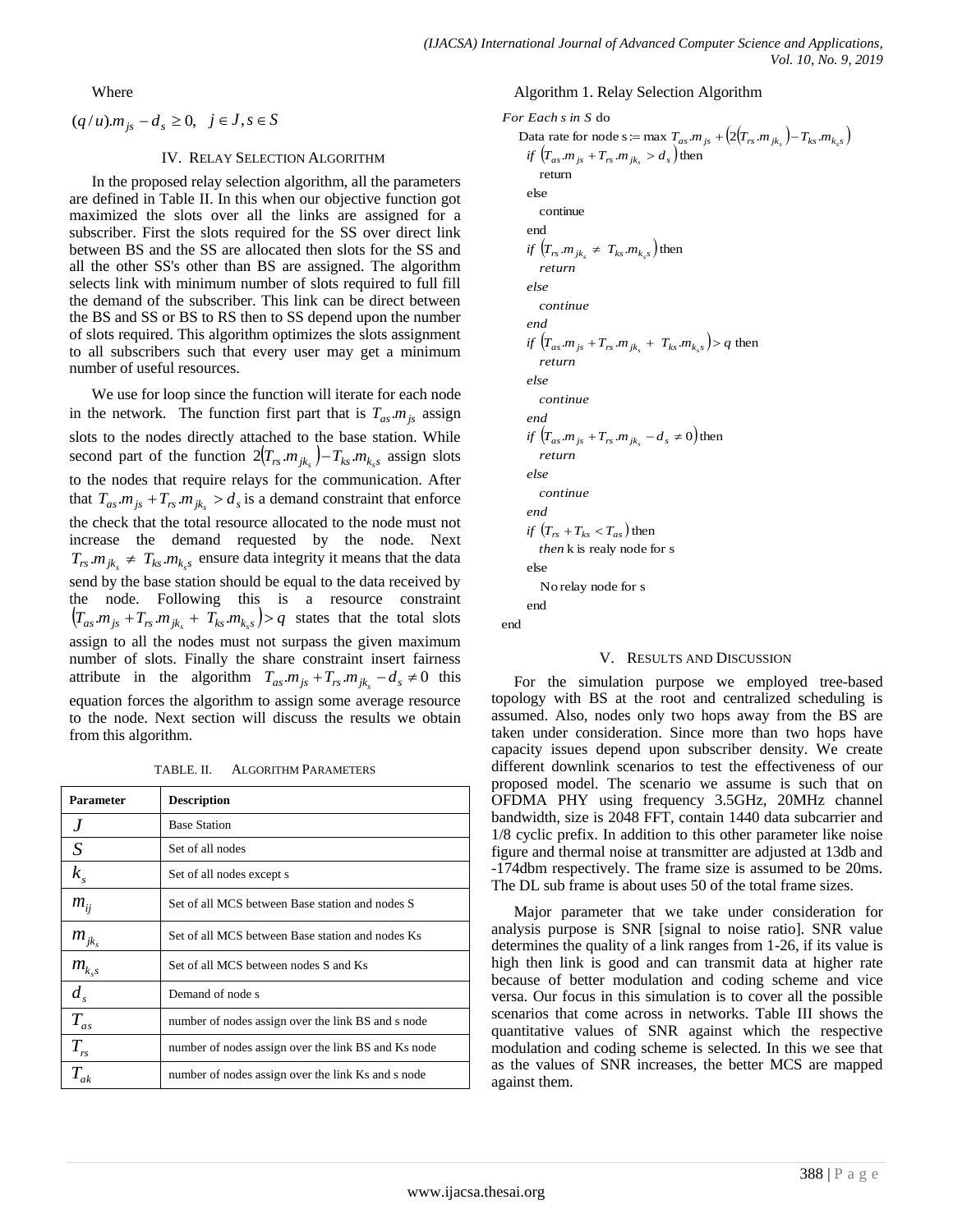Where

$$
(q/u)m_{js} - d_s \ge 0, \quad j \in J, s \in S
$$

### IV. RELAY SELECTION ALGORITHM

In the proposed relay selection algorithm, all the parameters are defined in Table II. In this when our objective function got maximized the slots over all the links are assigned for a subscriber. First the slots required for the SS over direct link between BS and the SS are allocated then slots for the SS and all the other SS's other than BS are assigned. The algorithm selects link with minimum number of slots required to full fill the demand of the subscriber. This link can be direct between the BS and SS or BS to RS then to SS depend upon the number of slots required. This algorithm optimizes the slots assignment to all subscribers such that every user may get a minimum number of useful resources.

We use for loop since the function will iterate for each node in the network. The function first part that is  $T_{as} m_{js}$  assign slots to the nodes directly attached to the base station. While second part of the function  $2(T_{rs} m_{jk_s}) - T_{ks} m_{k_s s}$  assign slots to the nodes that require relays for the communication. After that  $T_{as}$  *m*<sub>*js*</sub> +  $T_{rs}$  *m*<sub>*jk<sub>s</sub>*</sub> >  $d_s$  is a demand constraint that enforce the check that the total resource allocated to the node must not increase the demand requested by the node. Next  $T_{rs}.m_{jk_s} \neq T_{ks}.m_{k_s.s}$  ensure data integrity it means that the data send by the base station should be equal to the data received by the node. Following this is a resource constraint  $\left(T_{as} m_{js} + T_{rs} m_{jk} + T_{ks} m_{k,s}\right)$  > *q* states that the total slots assign to all the nodes must not surpass the given maximum number of slots. Finally the share constraint insert fairness attribute in the algorithm  $T_{as}m_{js} + T_{rs}m_{jk} - d_s \neq 0$  this equation forces the algorithm to assign some average resource to the node. Next section will discuss the results we obtain from this algorithm.

TABLE. II. ALGORITHM PARAMETERS

| <b>Parameter</b>                                   | <b>Description</b>                                  |  |
|----------------------------------------------------|-----------------------------------------------------|--|
| .I                                                 | <b>Base Station</b>                                 |  |
| S                                                  | Set of all nodes                                    |  |
| $k_{s}$                                            | Set of all nodes except s                           |  |
| $m_{ij}$                                           | Set of all MCS between Base station and nodes S     |  |
| $m_{\scriptscriptstyle jk_{\scriptscriptstyle s}}$ | Set of all MCS between Base station and nodes Ks    |  |
| $m_{k,s}^{\phantom{\dag}}$                         | Set of all MCS between nodes S and Ks               |  |
| $d_{s}$                                            | Demand of node s                                    |  |
| $T_{as}$                                           | number of nodes assign over the link BS and s node  |  |
| $T_{rs}$                                           | number of nodes assign over the link BS and Ks node |  |
| $T_{\scriptscriptstyle ak}$                        | number of nodes assign over the link Ks and s node  |  |

#### Algorithm 1. Relay Selection Algorithm

```
r Each s in S do<br>Data rate for node s := max T_{as}.m_{js} + (2(T_{rs}.m_{jk_s}) - T_{ks}.m_{k_s s})vata rate for node s := max T_{as} m <br>if (T_{as} m js + T_{rs} m jk<sub>s</sub> > d<sub>s</sub> ) then
       \int f\left(T_{rs}.m_{jk_s} \neq T_{ks}.m_{k_s s}\right) then
       \int_{a}^{b} (T_{as}.m_{js} + T_{rs}.m_{jks} + T_{ks}.m_{kss}) > q then
       \int_{a}^{b} (T_{as}.m_{js} + T_{rs}.m_{jk_{s}} - d_{s} \neq 0) then
       \int_{\mathcal{F}} f(r_{rs} + T_{ks} < T_{as}) then
end
       end
           No relay node for s
       else
           then k is realy node for s
       end
           continue
       else
           return
For Each s in S do
       end
           continue
       else
           return
       end
           continue
       else
           return
       end
           continue
       else
           return
```
#### V. RESULTS AND DISCUSSION

For the simulation purpose we employed tree-based topology with BS at the root and centralized scheduling is assumed. Also, nodes only two hops away from the BS are taken under consideration. Since more than two hops have capacity issues depend upon subscriber density. We create different downlink scenarios to test the effectiveness of our proposed model. The scenario we assume is such that on OFDMA PHY using frequency 3.5GHz, 20MHz channel bandwidth, size is 2048 FFT, contain 1440 data subcarrier and 1/8 cyclic prefix. In addition to this other parameter like noise figure and thermal noise at transmitter are adjusted at 13db and -174dbm respectively. The frame size is assumed to be 20ms. The DL sub frame is about uses 50 of the total frame sizes.

Major parameter that we take under consideration for analysis purpose is SNR [signal to noise ratio]. SNR value determines the quality of a link ranges from 1-26, if its value is high then link is good and can transmit data at higher rate because of better modulation and coding scheme and vice versa. Our focus in this simulation is to cover all the possible scenarios that come across in networks. Table III shows the quantitative values of SNR against which the respective modulation and coding scheme is selected. In this we see that as the values of SNR increases, the better MCS are mapped against them.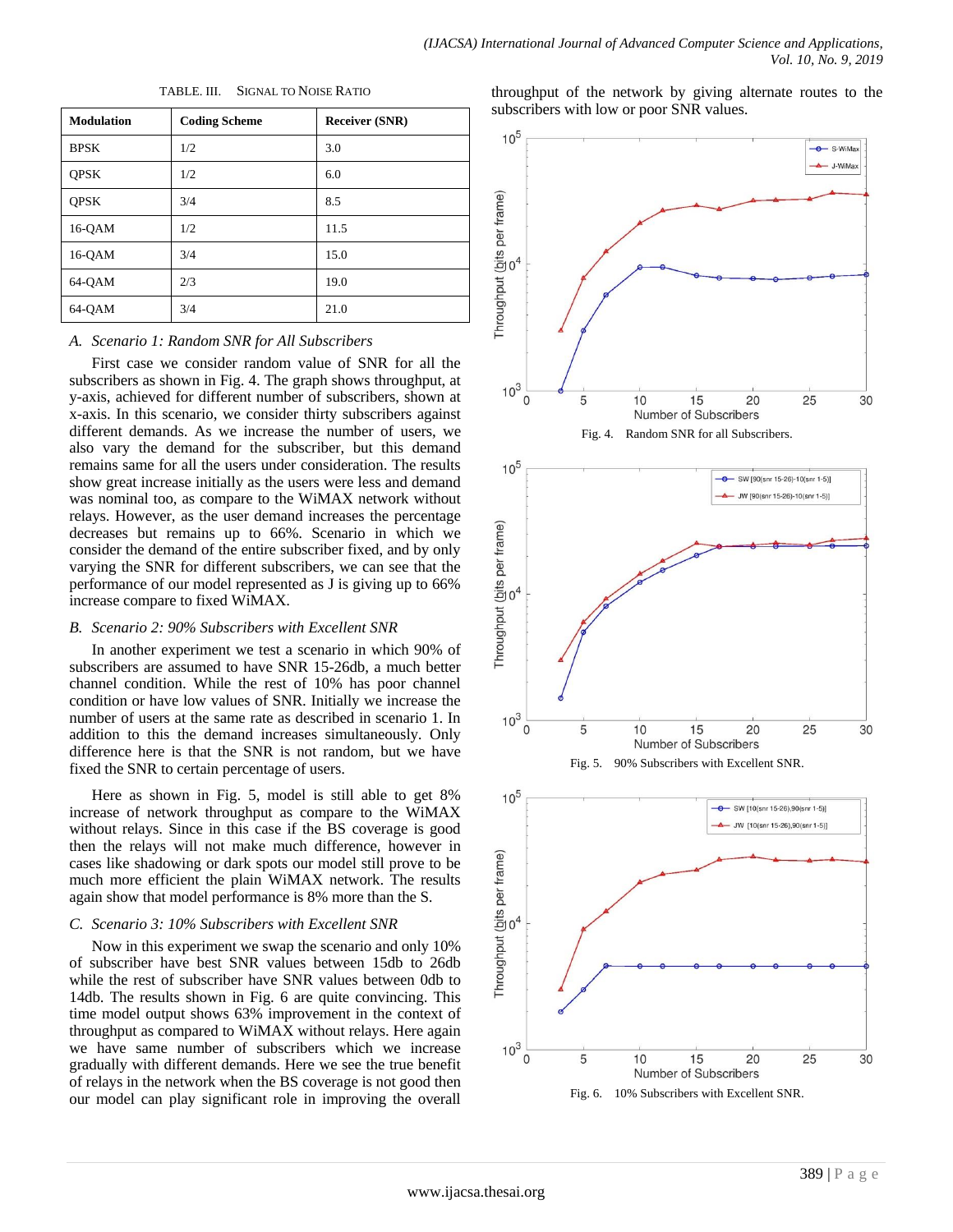| <b>Modulation</b> | <b>Coding Scheme</b> | <b>Receiver (SNR)</b> |
|-------------------|----------------------|-----------------------|
| <b>BPSK</b>       | 1/2                  | 3.0                   |
| <b>OPSK</b>       | 1/2                  | 6.0                   |
| <b>OPSK</b>       | 3/4                  | 8.5                   |
| $16-QAM$          | 1/2                  | 11.5                  |
| $16-QAM$          | 3/4                  | 15.0                  |
| 64-QAM            | 2/3                  | 19.0                  |
| 64-OAM            | 3/4                  | 21.0                  |

TABLE. III. SIGNAL TO NOISE RATIO

#### *A. Scenario 1: Random SNR for All Subscribers*

First case we consider random value of SNR for all the subscribers as shown in Fig. 4. The graph shows throughput, at y-axis, achieved for different number of subscribers, shown at x-axis. In this scenario, we consider thirty subscribers against different demands. As we increase the number of users, we also vary the demand for the subscriber, but this demand remains same for all the users under consideration. The results show great increase initially as the users were less and demand was nominal too, as compare to the WiMAX network without relays. However, as the user demand increases the percentage decreases but remains up to 66%. Scenario in which we consider the demand of the entire subscriber fixed, and by only varying the SNR for different subscribers, we can see that the performance of our model represented as J is giving up to 66% increase compare to fixed WiMAX.

#### *B. Scenario 2: 90% Subscribers with Excellent SNR*

In another experiment we test a scenario in which 90% of subscribers are assumed to have SNR 15-26db, a much better channel condition. While the rest of 10% has poor channel condition or have low values of SNR. Initially we increase the number of users at the same rate as described in scenario 1. In addition to this the demand increases simultaneously. Only difference here is that the SNR is not random, but we have fixed the SNR to certain percentage of users.

Here as shown in Fig. 5, model is still able to get 8% increase of network throughput as compare to the WiMAX without relays. Since in this case if the BS coverage is good then the relays will not make much difference, however in cases like shadowing or dark spots our model still prove to be much more efficient the plain WiMAX network. The results again show that model performance is 8% more than the S.

### *C. Scenario 3: 10% Subscribers with Excellent SNR*

Now in this experiment we swap the scenario and only 10% of subscriber have best SNR values between 15db to 26db while the rest of subscriber have SNR values between 0db to 14db. The results shown in Fig. 6 are quite convincing. This time model output shows 63% improvement in the context of throughput as compared to WiMAX without relays. Here again we have same number of subscribers which we increase gradually with different demands. Here we see the true benefit of relays in the network when the BS coverage is not good then our model can play significant role in improving the overall throughput of the network by giving alternate routes to the subscribers with low or poor SNR values.



Fig. 6. 10% Subscribers with Excellent SNR.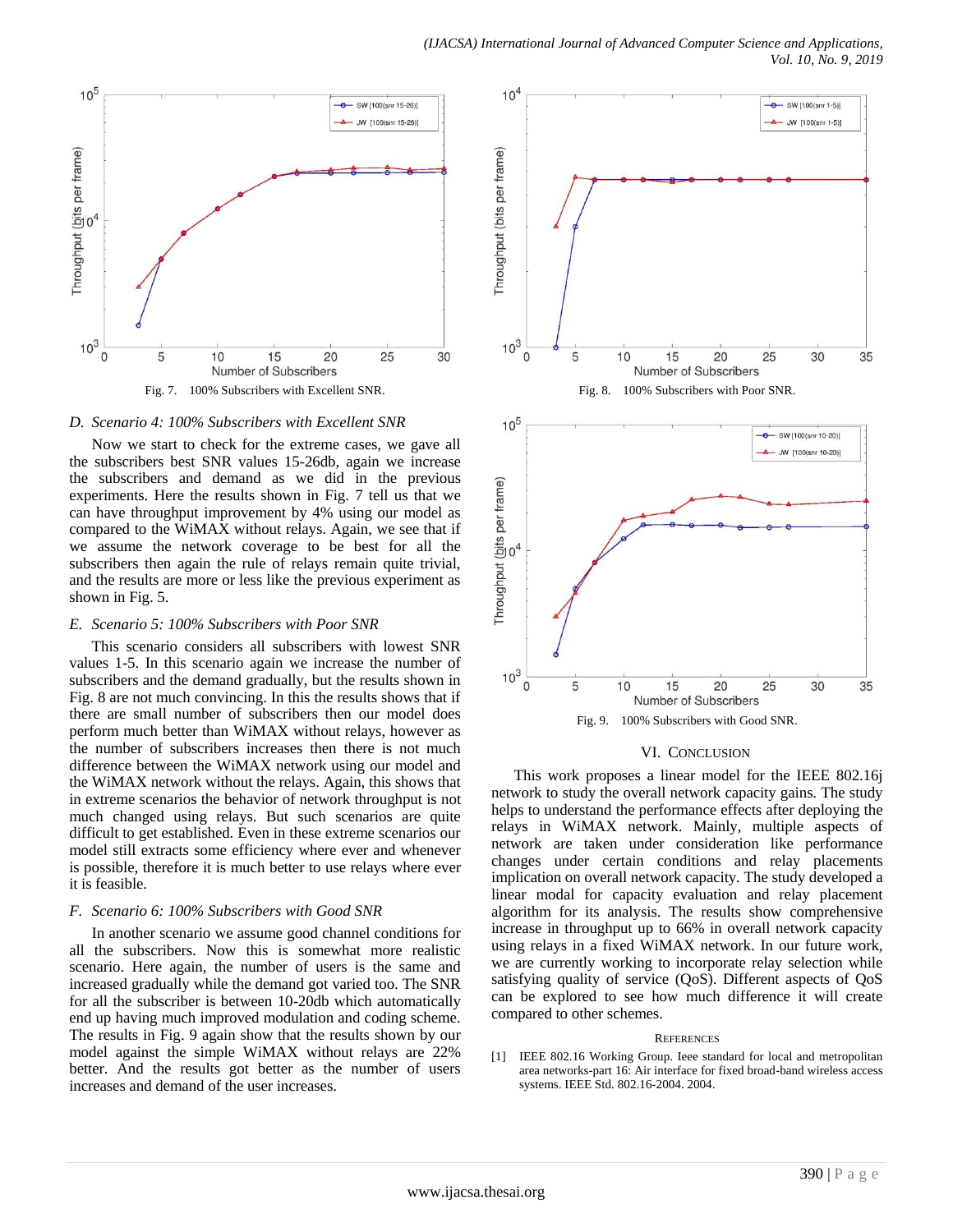

#### *D. Scenario 4: 100% Subscribers with Excellent SNR*

Now we start to check for the extreme cases, we gave all the subscribers best SNR values 15-26db, again we increase the subscribers and demand as we did in the previous experiments. Here the results shown in Fig. 7 tell us that we can have throughput improvement by 4% using our model as compared to the WiMAX without relays. Again, we see that if we assume the network coverage to be best for all the subscribers then again the rule of relays remain quite trivial, and the results are more or less like the previous experiment as shown in Fig. 5.

#### *E. Scenario 5: 100% Subscribers with Poor SNR*

This scenario considers all subscribers with lowest SNR values 1-5. In this scenario again we increase the number of subscribers and the demand gradually, but the results shown in Fig. 8 are not much convincing. In this the results shows that if there are small number of subscribers then our model does perform much better than WiMAX without relays, however as the number of subscribers increases then there is not much difference between the WiMAX network using our model and the WiMAX network without the relays. Again, this shows that in extreme scenarios the behavior of network throughput is not much changed using relays. But such scenarios are quite difficult to get established. Even in these extreme scenarios our model still extracts some efficiency where ever and whenever is possible, therefore it is much better to use relays where ever it is feasible.

#### *F. Scenario 6: 100% Subscribers with Good SNR*

In another scenario we assume good channel conditions for all the subscribers. Now this is somewhat more realistic scenario. Here again, the number of users is the same and increased gradually while the demand got varied too. The SNR for all the subscriber is between 10-20db which automatically end up having much improved modulation and coding scheme. The results in Fig. 9 again show that the results shown by our model against the simple WiMAX without relays are 22% better. And the results got better as the number of users increases and demand of the user increases.



#### VI. CONCLUSION

This work proposes a linear model for the IEEE 802.16j network to study the overall network capacity gains. The study helps to understand the performance effects after deploying the relays in WiMAX network. Mainly, multiple aspects of network are taken under consideration like performance changes under certain conditions and relay placements implication on overall network capacity. The study developed a linear modal for capacity evaluation and relay placement algorithm for its analysis. The results show comprehensive increase in throughput up to 66% in overall network capacity using relays in a fixed WiMAX network. In our future work, we are currently working to incorporate relay selection while satisfying quality of service (QoS). Different aspects of QoS can be explored to see how much difference it will create compared to other schemes.

#### **REFERENCES**

[1] IEEE 802.16 Working Group. Ieee standard for local and metropolitan area networks-part 16: Air interface for fixed broad-band wireless access systems. IEEE Std. 802.16-2004. 2004.